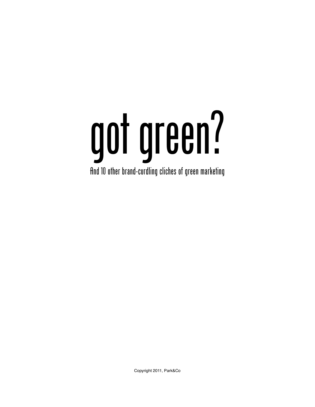## got green? And 10 other brand-curdling cliches of green marketing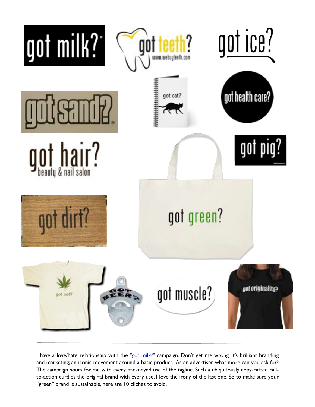

I have a love/hate relationship with the "got milk?" campaign. Don't get me wrong. It's brilliant branding and marketing; an iconic movement around a basic product. As an advertiser, what more can you ask for? The campaign sours for me with every hackneyed use of the tagline. Such a ubiquitously copy-catted callto-action curdles the original brand with every use. I love the irony of the last one. So to make sure your "green" brand is sustainable, here are 10 cliches to avoid.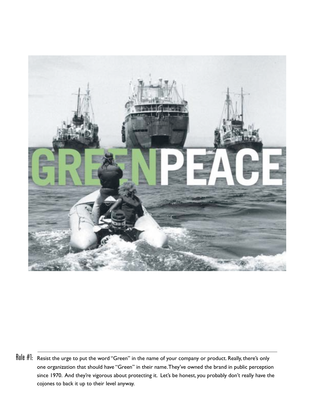

Rule #1: Resist the urge to put the word "Green" in the name of your company or product. Really, there's only one organization that should have "Green" in their name. They've owned the brand in public perception since 1970. And they're vigorous about protecting it. Let's be honest, you probably don't really have the cojones to back it up to their level anyway.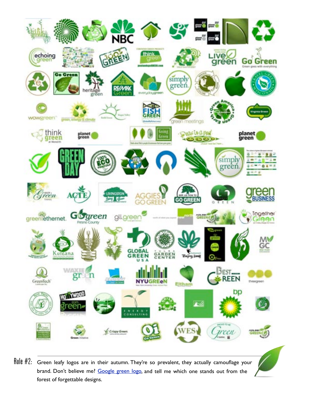

forest of forgettable designs.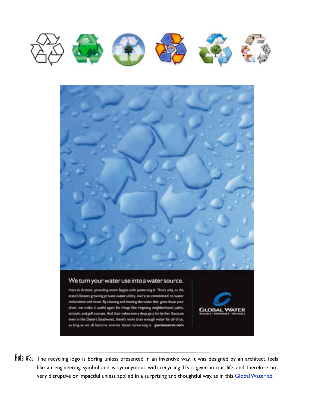



Rule #3: The recycling logo is boring unless presented in an inventive way. It was designed by an architect, feels like an engineering symbol and is synonymous with recycling. It's a given in our life, and therefore not very disruptive or impactful unless applied in a surprising and thoughtful way, as in this Global Water ad.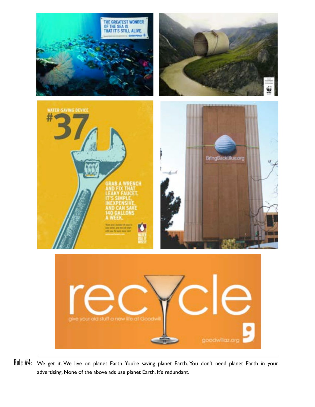

Rule #4: We get it. We live on planet Earth. You're saving planet Earth. You don't need planet Earth in your advertising. None of the above ads use planet Earth. It's redundant.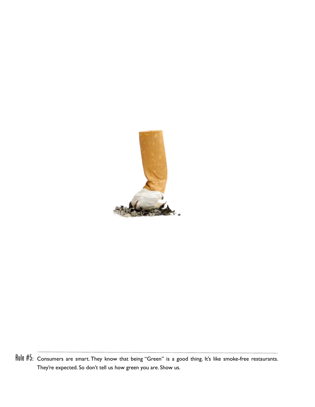

Rule #5: Consumers are smart. They know that being "Green" is a good thing. It's like smoke-free restaurants. They're expected. So don't tell us how green you are. Show us.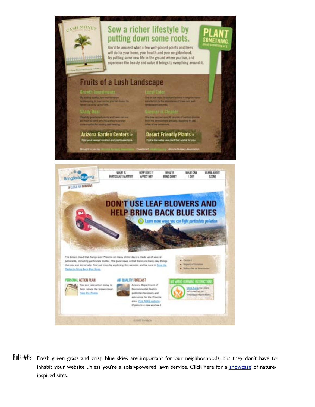

 $Rule #6:$  Fresh green grass and crisp blue skies are important for our neighborhoods, but they don't have to inhabit your website unless you're a solar-powered lawn service. Click here for a showcase of natureinspired sites.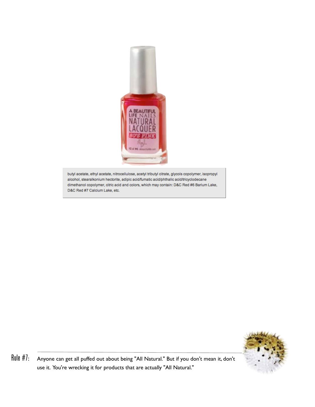

butyl acetate, ethyl acetate, nitrocellulose, acetyl tributyl citrate, glycols copolymer, isopropyl alcohol, stearalkonium hectorite, adipic acid/fumatic acid/phthalic acid/tricyclodecane dimethanol copolymer, citric acid and colors, which may contain: D&C Red #6 Barium Lake, D&C Red #7 Calcium Lake, etc.



Rule #7: Anyone can get all puffed out about being "All Natural." But if you don't mean it, don't use it. You're wrecking it for products that are actually "All Natural."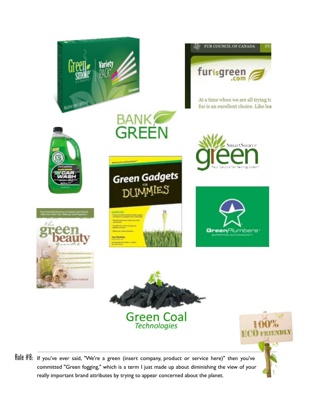

Rule #8: If you've ever said, "We're a green (insert company, product or service here)" then you've committed "Green fogging," which is a term I just made up about diminishing the view of your really important brand attributes by trying to appear concerned about the planet.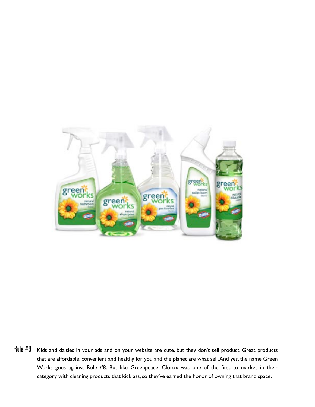

Rule #9: Kids and daisies in your ads and on your website are cute, but they don't sell product. Great products that are affordable, convenient and healthy for you and the planet are what sell. And yes, the name Green Works goes against Rule #8. But like Greenpeace, Clorox was one of the first to market in their category with cleaning products that kick ass, so they've earned the honor of owning that brand space.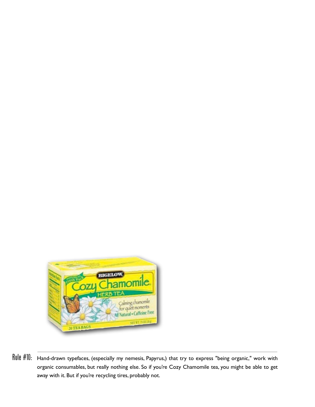

Rule #10: Hand-drawn typefaces, (especially my nemesis, Papyrus,) that try to express "being organic," work with organic consumables, but really nothing else. So if you're Cozy Chamomile tea, you might be able to get away with it. But if you're recycling tires, probably not.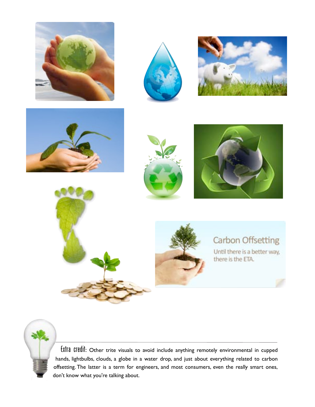















## Carbon Offsetting

Until there is a better way, there is the ETA.



Extra credit: Other trite visuals to avoid include anything remotely environmental in cupped hands, lightbulbs, clouds, a globe in a water drop, and just about everything related to carbon offsetting. The latter is a term for engineers, and most consumers, even the really smart ones, don't know what you're talking about.